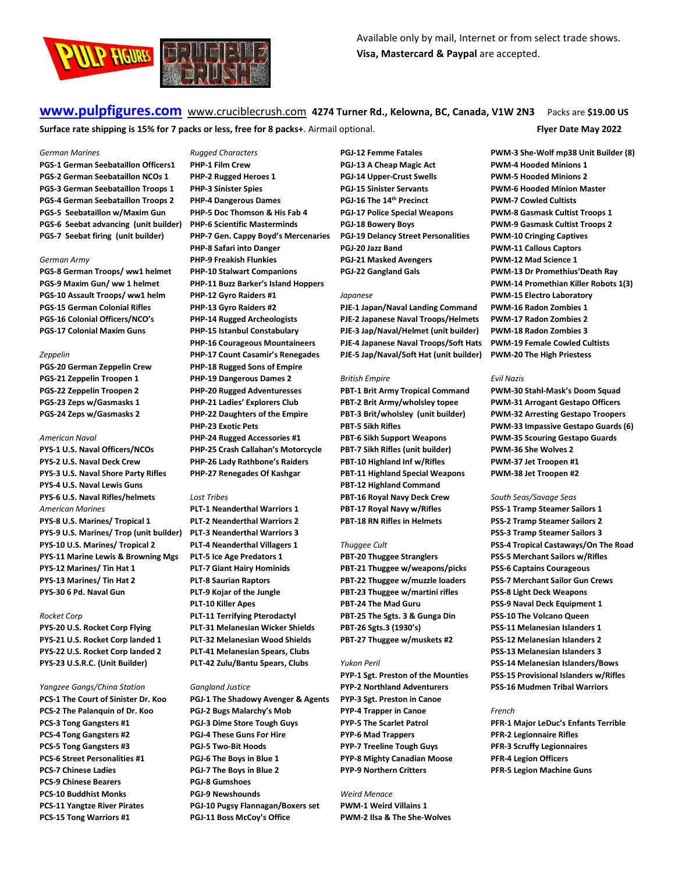

**[www.pulpfigures.com](http://www.pulpfigures.com/)** www.cruciblecrush.com **4274 Turner Rd., Kelowna, BC, Canada, V1W 2N3** Packs are **\$19.00 US Surface rate shipping is 15% for 7 packs or less, free for 8 packs+**. Airmail optional. **Flyer Date May 2022**

## *German Marines*

**PGS-1 German Seebataillon Officers1 PGS-2 German Seebataillon NCOs 1 PGS-3 German Seebataillon Troops 1 PGS-4 German Seebataillon Troops 2 PGS-5 Seebataillon w/Maxim Gun PGS-6 Seebat advancing (unit builder) PGS-7 Seebat firing (unit builder)** 

## *German Army*

**PGS-8 German Troops/ ww1 helmet PGS-9 Maxim Gun/ ww 1 helmet PGS-10 Assault Troops/ ww1 helm PGS-15 German Colonial Rifles PGS-16 Colonial Officers/NCO's PGS-17 Colonial Maxim Guns**

#### *Zeppelin*

**PGS-20 German Zeppelin Crew PGS-21 Zeppelin Troopen 1 PGS-22 Zeppelin Troopen 2 PGS-23 Zeps w/Gasmasks 1 PGS-24 Zeps w/Gasmasks 2**

## *American Naval*

**PYS-1 U.S. Naval Officers/NCOs PYS-2 U.S. Naval Deck Crew PYS-3 U.S. Naval Shore Party Rifles PYS-4 U.S. Naval Lewis Guns PYS-6 U.S. Naval Rifles/helmets** *American Marines* **PYS-8 U.S. Marines/ Tropical 1 PYS-9 U.S. Marines/ Trop (unit builder) PYS-10 U.S. Marines/ Tropical 2 PYS-11 Marine Lewis & Browning Mgs PYS-12 Marines/ Tin Hat 1 PYS-13 Marines/ Tin Hat 2 PYS-30 6 Pd. Naval Gun**

## *Rocket Corp*

**PYS-20 U.S. Rocket Corp Flying PYS-21 U.S. Rocket Corp landed 1 PYS-22 U.S. Rocket Corp landed 2 PYS-23 U.S.R.C. (Unit Builder)**

## *Yangzee Gangs/China Station*

**PCS-1 The Court of Sinister Dr. Koo PCS-2 The Palanquin of Dr. Koo PCS-3 Tong Gangsters #1 PCS-4 Tong Gangsters #2 PCS-5 Tong Gangsters #3 PCS-6 Street Personalities #1 PCS-7 Chinese Ladies PCS-9 Chinese Bearers PCS-10 Buddhist Monks PCS-11 Yangtze River Pirates PCS-15 Tong Warriors #1**

*Rugged Characters* **PHP-1 Film Crew PHP-2 Rugged Heroes 1 PHP-3 Sinister Spies PHP-4 Dangerous Dames PHP-5 Doc Thomson & His Fab 4 PHP-6 Scientific Masterminds PHP-7 Gen. Cappy Boyd's Mercenaries PHP-8 Safari into Danger PHP-9 Freakish Flunkies PHP-10 Stalwart Companions PHP-11 Buzz Barker's Island Hoppers PHP-12 Gyro Raiders #1 PHP-13 Gyro Raiders #2 PHP-14 Rugged Archeologists PHP-15 Istanbul Constabulary PHP-16 Courageous Mountaineers PHP-17 Count Casamir's Renegades PHP-18 Rugged Sons of Empire PHP-19 Dangerous Dames 2 PHP-20 Rugged Adventuresses PHP-21 Ladies' Explorers Club PHP-22 Daughters of the Empire PHP-23 Exotic Pets PHP-24 Rugged Accessories #1 PHP-25 Crash Callahan's Motorcycle**

**PHP-26 Lady Rathbone's Raiders PHP-27 Renegades Of Kashgar**

## *Lost Tribes*

**PLT-1 Neanderthal Warriors 1 PLT-2 Neanderthal Warriors 2 PLT-3 Neanderthal Warriors 3 PLT-4 Neanderthal Villagers 1 PLT-5 Ice Age Predators 1 PLT-7 Giant Hairy Hominids PLT-8 Saurian Raptors PLT-9 Kojar of the Jungle PLT-10 Killer Apes PLT-11 Terrifying Pterodactyl PLT-31 Melanesian Wicker Shields PLT-32 Melanesian Wood Shields PLT-41 Melanesian Spears, Clubs PLT-42 Zulu/Bantu Spears, Clubs** 

#### *Gangland Justice*

**PGJ-1 The Shadowy Avenger & Agents PGJ-2 Bugs Malarchy's Mob PGJ-3 Dime Store Tough Guys PGJ-4 These Guns For Hire PGJ-5 Two-Bit Hoods PGJ-6 The Boys in Blue 1 PGJ-7 The Boys in Blue 2 PGJ-8 Gumshoes PGJ-9 Newshounds PGJ-10 Pugsy Flannagan/Boxers set PGJ-11 Boss McCoy's Office**

**PGJ-12 Femme Fatales PGJ-13 A Cheap Magic Act PGJ-14 Upper-Crust Swells PGJ-15 Sinister Servants PGJ-16 The 14th Precinct PGJ-17 Police Special Weapons PGJ-18 Bowery Boys PGJ-19 Delancy Street Personalities PGJ-20 Jazz Band PGJ-21 Masked Avengers PGJ-22 Gangland Gals**

## *Japanese*

**PJE-1 Japan/Naval Landing Command PJE-2 Japanese Naval Troops/Helmets PJE-3 Jap/Naval/Helmet (unit builder) PJE-4 Japanese Naval Troops/Soft Hats PJE-5 Jap/Naval/Soft Hat (unit builder)** 

## *British Empire*

**PBT-1 Brit Army Tropical Command PBT-2 Brit Army/wholsley topee PBT-3 Brit/wholsley (unit builder) PBT-5 Sikh Rifles PBT-6 Sikh Support Weapons PBT-7 Sikh Rifles (unit builder) PBT-10 Highland Inf w/Rifles PBT-11 Highland Special Weapons PBT-12 Highland Command PBT-16 Royal Navy Deck Crew PBT-17 Royal Navy w/Rifles PBT-18 RN Rifles in Helmets**

## *Thuggee Cult*

**PBT-20 Thuggee Stranglers PBT-21 Thuggee w/weapons/picks PBT-22 Thuggee w/muzzle loaders PBT-23 Thuggee w/martini rifles PBT-24 The Mad Guru PBT-25 The Sgts. 3 & Gunga Din PBT-26 Sgts.3 (1930's) PBT-27 Thuggee w/muskets #2**

## *Yukon Peril*

**PYP-1 Sgt. Preston of the Mounties PYP-2 Northland Adventurers PYP-3 Sgt. Preston in Canoe PYP-4 Trapper in Canoe PYP-5 The Scarlet Patrol PYP-6 Mad Trappers PYP-7 Treeline Tough Guys PYP-8 Mighty Canadian Moose PYP-9 Northern Critters**

# *Weird Menace*

**PWM-1 Weird Villains 1 PWM-2 Ilsa & The She-Wolves**

**PWM-3 She-Wolf mp38 Unit Builder (8) PWM-4 Hooded Minions 1 PWM-5 Hooded Minions 2 PWM-6 Hooded Minion Master PWM-7 Cowled Cultists PWM-8 Gasmask Cultist Troops 1 PWM-9 Gasmask Cultist Troops 2 PWM-10 Cringing Captives PWM-11 Callous Captors PWM-12 Mad Science 1 PWM-13 Dr Promethius'Death Ray PWM-14 Promethian Killer Robots 1(3) PWM-15 Electro Laboratory PWM-16 Radon Zombies 1 PWM-17 Radon Zombies 2 PWM-18 Radon Zombies 3 PWM-19 Female Cowled Cultists PWM-20 The High Priestess**

## *Evil Nazis*

**PWM-30 Stahl-Mask's Doom Squad PWM-31 Arrogant Gestapo Officers PWM-32 Arresting Gestapo Troopers PWM-33 Impassive Gestapo Guards (6) PWM-35 Scouring Gestapo Guards PWM-36 She Wolves 2 PWM-37 Jet Troopen #1 PWM-38 Jet Troopen #2**

## *South Seas/Savage Seas*

**PSS-1 Tramp Steamer Sailors 1 PSS-2 Tramp Steamer Sailors 2 PSS-3 Tramp Steamer Sailors 3 PSS-4 Tropical Castaways/On The Road PSS-5 Merchant Sailors w/Rifles PSS-6 Captains Courageous PSS-7 Merchant Sailor Gun Crews PSS-8 Light Deck Weapons PSS-9 Naval Deck Equipment 1 PSS-10 The Volcano Queen PSS-11 Melanesian Islanders 1 PSS-12 Melanesian Islanders 2 PSS-13 Melanesian Islanders 3 PSS-14 Melanesian Islanders/Bows PSS-15 Provisional Islanders w/Rifles PSS-16 Mudmen Tribal Warriors**

## *French*

**PFR-1 Major LeDuc's Enfants Terrible PFR-2 Legionnaire Rifles PFR-3 Scruffy Legionnaires PFR-4 Legion Officers PFR-5 Legion Machine Guns**